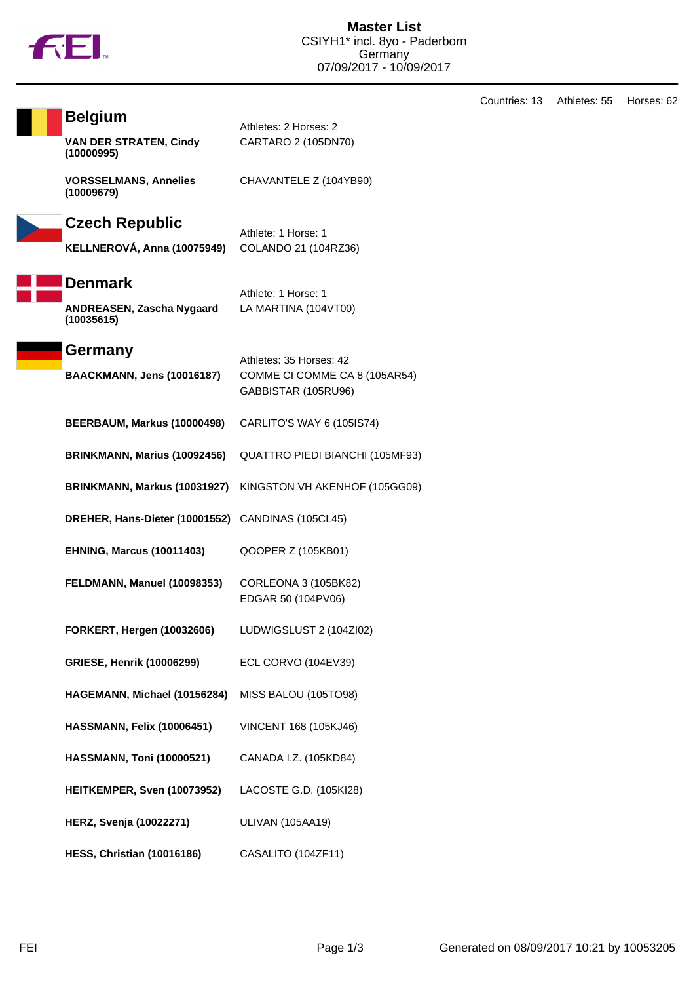

CARTARO 2 (105DN70)

Athlete: 1 Horse: 1

Athlete: 1 Horse: 1

LA MARTINA (104VT00)

Athletes: 35 Horses: 42

CHAVANTELE Z (104YB90)

Countries: 13 Athletes: 55 Horses: 62

| <b>Belgium</b>                              | Athletes: 2 Horses: 2 |
|---------------------------------------------|-----------------------|
| <b>VAN DER STRATEN, Cindy</b><br>(10000995) | CARTARO 2 (105DN      |

**VORSSELMANS, Annelies (10009679)**

## **Czech Republic**

**KELLNEROVÁ, Anna (10075949)** COLANDO 21 (104RZ36)



**ANDREASEN, Zascha Nygaard**

**(10035615)**

**Germany**

| <b>BAACKMANN, Jens (10016187)</b> | COMME CI COMME CA 8 (105AR54)<br>GABBISTAR (105RU96) |
|-----------------------------------|------------------------------------------------------|
| BEERBAUM, Markus (10000498)       | CARLITO'S WAY 6 (105IS74)                            |
| BRINKMANN, Marius (10092456)      | QUATTRO PIEDI BIANCHI (105MF93)                      |
| BRINKMANN, Markus (10031927)      | KINGSTON VH AKENHOF (105GG09)                        |
| DREHER, Hans-Dieter (10001552)    | CANDINAS (105CL45)                                   |
| <b>EHNING, Marcus (10011403)</b>  | QOOPER Z (105KB01)                                   |
| FELDMANN, Manuel (10098353)       | CORLEONA 3 (105BK82)<br>EDGAR 50 (104PV06)           |
| <b>FORKERT, Hergen (10032606)</b> | LUDWIGSLUST 2 (104ZI02)                              |
| <b>GRIESE, Henrik (10006299)</b>  | ECL CORVO (104EV39)                                  |
| HAGEMANN, Michael (10156284)      | MISS BALOU (105TO98)                                 |
| HASSMANN, Felix (10006451)        | VINCENT 168 (105KJ46)                                |
| <b>HASSMANN, Toni (10000521)</b>  | CANADA I.Z. (105KD84)                                |
| HEITKEMPER, Sven (10073952)       | LACOSTE G.D. (105KI28)                               |
| <b>HERZ, Svenja (10022271)</b>    | <b>ULIVAN (105AA19)</b>                              |
| <b>HESS, Christian (10016186)</b> | CASALITO (104ZF11)                                   |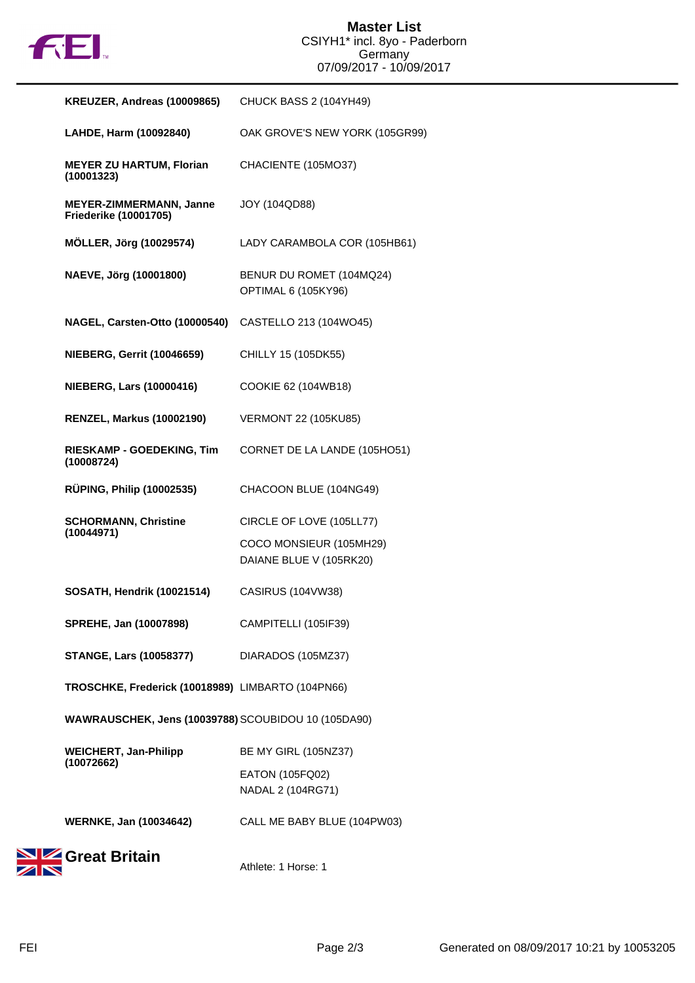

| KREUZER, Andreas (10009865)                             | CHUCK BASS 2 (104YH49)                             |
|---------------------------------------------------------|----------------------------------------------------|
| LAHDE, Harm (10092840)                                  | OAK GROVE'S NEW YORK (105GR99)                     |
| <b>MEYER ZU HARTUM, Florian</b><br>(10001323)           | CHACIENTE (105MO37)                                |
| MEYER-ZIMMERMANN, Janne<br><b>Friederike (10001705)</b> | <b>JOY (104QD88)</b>                               |
| <b>MÖLLER, Jörg (10029574)</b>                          | LADY CARAMBOLA COR (105HB61)                       |
| NAEVE, Jörg (10001800)                                  | BENUR DU ROMET (104MQ24)<br>OPTIMAL 6 (105KY96)    |
| NAGEL, Carsten-Otto (10000540)                          | CASTELLO 213 (104WO45)                             |
| <b>NIEBERG, Gerrit (10046659)</b>                       | CHILLY 15 (105DK55)                                |
| <b>NIEBERG, Lars (10000416)</b>                         | COOKIE 62 (104WB18)                                |
| <b>RENZEL, Markus (10002190)</b>                        | <b>VERMONT 22 (105KU85)</b>                        |
| <b>RIESKAMP - GOEDEKING, Tim</b><br>(10008724)          | CORNET DE LA LANDE (105HO51)                       |
| <b>RÜPING, Philip (10002535)</b>                        | CHACOON BLUE (104NG49)                             |
| <b>SCHORMANN, Christine</b><br>(10044971)               | CIRCLE OF LOVE (105LL77)                           |
|                                                         | COCO MONSIEUR (105MH29)<br>DAIANE BLUE V (105RK20) |
| <b>SOSATH, Hendrik (10021514)</b>                       | CASIRUS (104VW38)                                  |
| <b>SPREHE, Jan (10007898)</b>                           | CAMPITELLI (105IF39)                               |
| <b>STANGE, Lars (10058377)</b>                          | DIARADOS (105MZ37)                                 |
| TROSCHKE, Frederick (10018989) LIMBARTO (104PN66)       |                                                    |
| WAWRAUSCHEK, Jens (10039788) SCOUBIDOU 10 (105DA90)     |                                                    |
| <b>WEICHERT, Jan-Philipp</b><br>(10072662)              | <b>BE MY GIRL (105NZ37)</b>                        |
|                                                         | EATON (105FQ02)<br>NADAL 2 (104RG71)               |
| <b>WERNKE, Jan (10034642)</b>                           | CALL ME BABY BLUE (104PW03)                        |
| Great Britain                                           | Athlete: 1 Horse: 1                                |